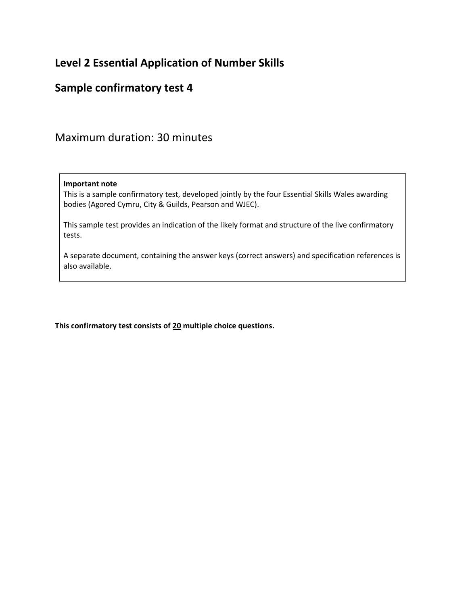# **Level 2 Essential Application of Number Skills**

## **Sample confirmatory test 4**

Maximum duration: 30 minutes

#### **Important note**

This is a sample confirmatory test, developed jointly by the four Essential Skills Wales awarding bodies (Agored Cymru, City & Guilds, Pearson and WJEC).

This sample test provides an indication of the likely format and structure of the live confirmatory tests.

A separate document, containing the answer keys (correct answers) and specification references is also available.

**This confirmatory test consists of 20 multiple choice questions.**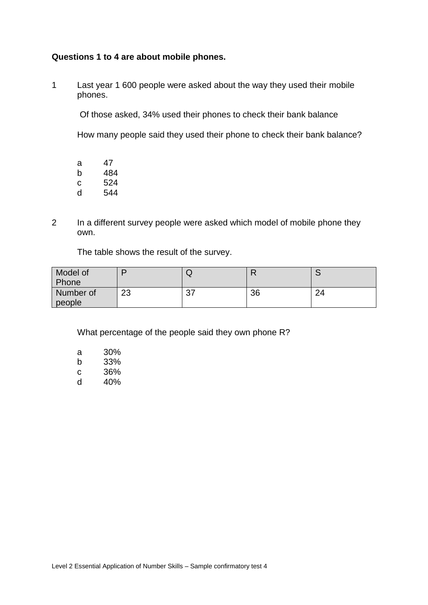### **Questions 1 to 4 are about mobile phones.**

1 Last year 1 600 people were asked about the way they used their mobile phones.

Of those asked, 34% used their phones to check their bank balance

How many people said they used their phone to check their bank balance?

a 47 b 484 c 524 d 544

2 In a different survey people were asked which model of mobile phone they own.

The table shows the result of the survey.

| Model of  |          | ◡              |    | $\overline{\phantom{0}}$ |
|-----------|----------|----------------|----|--------------------------|
| Phone     |          |                |    |                          |
| Number of | າາ<br>دے | $\sim$<br>ູບ ເ | 36 | ົາ                       |
| people    |          |                |    |                          |

What percentage of the people said they own phone R?

| а | 30% |
|---|-----|
| h | 33% |
| c | 36% |
| d | 40% |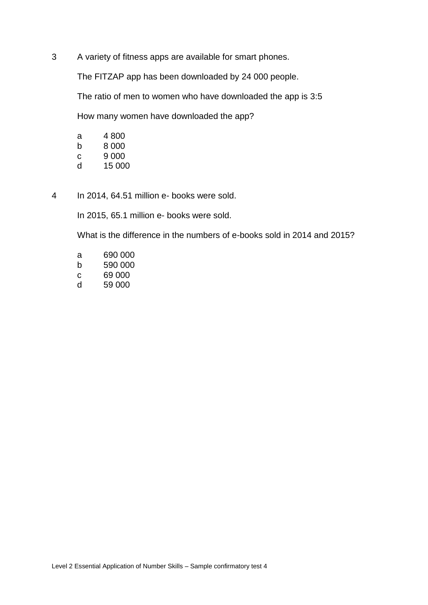3 A variety of fitness apps are available for smart phones.

The FITZAP app has been downloaded by 24 000 people.

The ratio of men to women who have downloaded the app is 3:5

How many women have downloaded the app?

| а | 4 800  |
|---|--------|
| b | 8 000  |
| С | 9 000  |
| d | 15 000 |

4 In 2014, 64.51 million e- books were sold.

In 2015, 65.1 million e- books were sold.

What is the difference in the numbers of e-books sold in 2014 and 2015?

- a 690 000 b 590 000 c 69 000
- d 59 000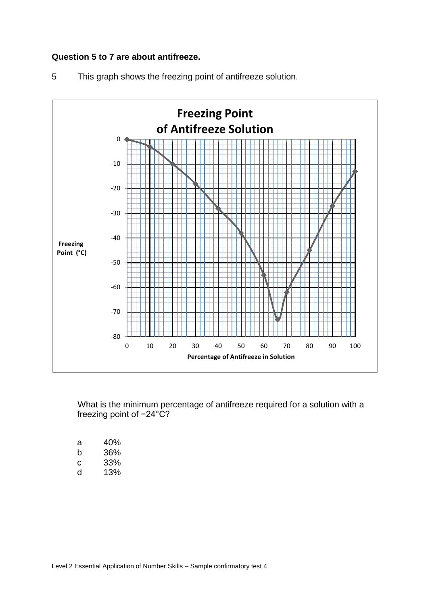## **Question 5 to 7 are about antifreeze.**





What is the minimum percentage of antifreeze required for a solution with a freezing point of -24°C?

| а | 40% |
|---|-----|
| h | 36% |
| c | 33% |
| d | 13% |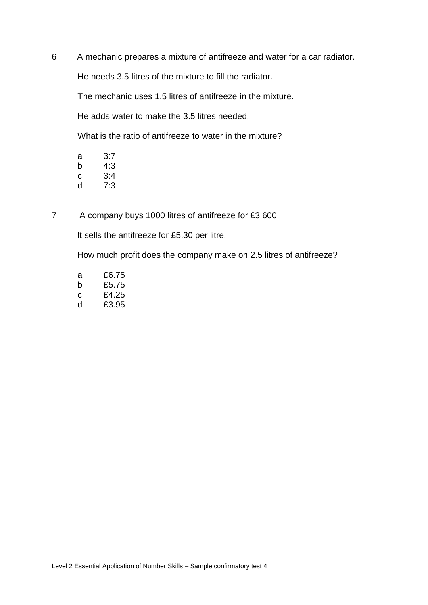6 A mechanic prepares a mixture of antifreeze and water for a car radiator.

He needs 3.5 litres of the mixture to fill the radiator.

The mechanic uses 1.5 litres of antifreeze in the mixture.

He adds water to make the 3.5 litres needed.

What is the ratio of antifreeze to water in the mixture?

| а | 3:7 |
|---|-----|
| b | 4:3 |
| c | 3:4 |
| d | 7:3 |

7 A company buys 1000 litres of antifreeze for £3 600

It sells the antifreeze for £5.30 per litre.

How much profit does the company make on 2.5 litres of antifreeze?

a £6.75 b £5.75 c £4.25 d £3.95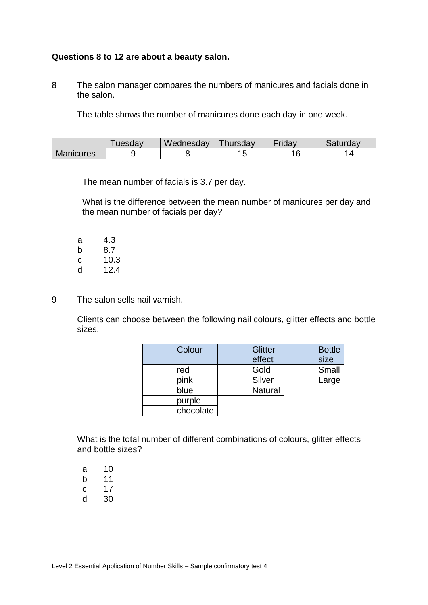### **Questions 8 to 12 are about a beauty salon.**

8 The salon manager compares the numbers of manicures and facials done in the salon.

The table shows the number of manicures done each day in one week.

|                  | uesdav | Wednesday | Thursday | riday | Saturday |
|------------------|--------|-----------|----------|-------|----------|
| <b>Manicures</b> |        |           | . J      | r     |          |

The mean number of facials is 3.7 per day.

What is the difference between the mean number of manicures per day and the mean number of facials per day?

a 4.3 b 8.7 c 10.3 d 12.4

9 The salon sells nail varnish.

Clients can choose between the following nail colours, glitter effects and bottle sizes.

| Colour    | <b>Glitter</b> | <b>Bottle</b> |
|-----------|----------------|---------------|
|           | effect         | size          |
| red       | Gold           | Small         |
| pink      | Silver         | Large         |
| blue      | <b>Natural</b> |               |
| purple    |                |               |
| chocolate |                |               |

What is the total number of different combinations of colours, glitter effects and bottle sizes?

a 10 b 11

- c 17
- d 30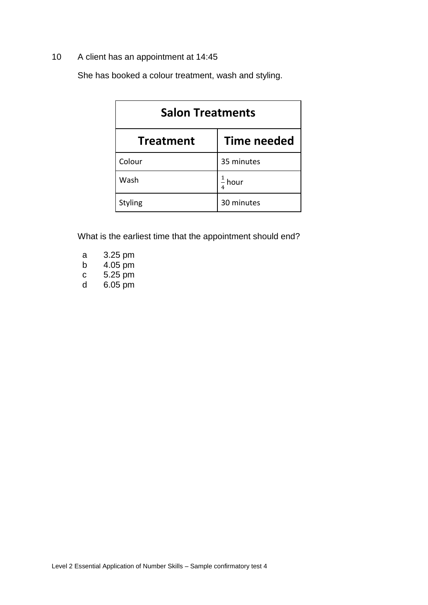## 10 A client has an appointment at 14:45

She has booked a colour treatment, wash and styling.

| <b>Salon Treatments</b>                |                    |  |
|----------------------------------------|--------------------|--|
| <b>Time needed</b><br><b>Treatment</b> |                    |  |
| Colour                                 | 35 minutes         |  |
| Wash                                   | $\frac{1}{4}$ hour |  |
| <b>Styling</b>                         | 30 minutes         |  |

What is the earliest time that the appointment should end?

| а | 3.25 pm |
|---|---------|
| b | 4.05 pm |
| С | 5.25 pm |
| d | 6.05 pm |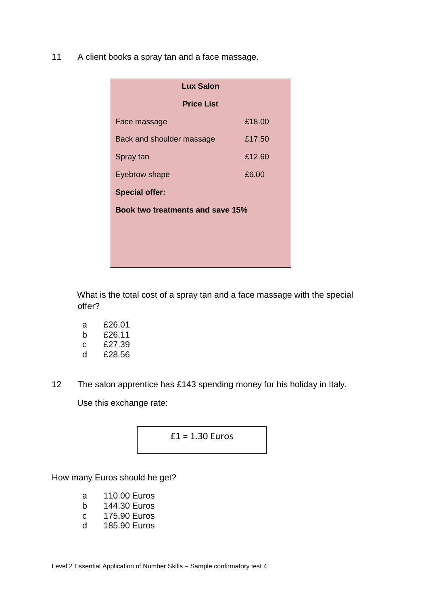11 A client books a spray tan and a face massage.

| <b>Lux Salon</b>                 |        |  |
|----------------------------------|--------|--|
| <b>Price List</b>                |        |  |
| Face massage                     | £18.00 |  |
| Back and shoulder massage        | £17.50 |  |
| Spray tan                        | £12.60 |  |
| Eyebrow shape                    | £6.00  |  |
| <b>Special offer:</b>            |        |  |
| Book two treatments and save 15% |        |  |
|                                  |        |  |
|                                  |        |  |
|                                  |        |  |

What is the total cost of a spray tan and a face massage with the special offer?

- a £26.01 b £26.11 c £27.39
- d £28.56
- 12 The salon apprentice has £143 spending money for his holiday in Italy.

Use this exchange rate:



How many Euros should he get?

- a 110.00 Euros
- b 144.30 Euros
- c 175.90 Euros
- d 185.90 Euros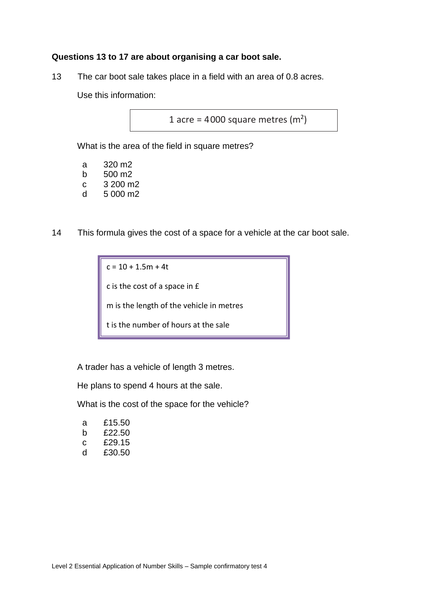### **Questions 13 to 17 are about organising a car boot sale.**

13 The car boot sale takes place in a field with an area of 0.8 acres.

Use this information:

1 acre =  $4000$  square metres (m<sup>2</sup>)

What is the area of the field in square metres?

| 320 m2   |
|----------|
| 500 m2   |
| 3 200 m2 |
| 5 000 m2 |
|          |

14 This formula gives the cost of a space for a vehicle at the car boot sale.

 $c = 10 + 1.5m + 4t$ c is the cost of a space in £ m is the length of the vehicle in metres t is the number of hours at the sale

A trader has a vehicle of length 3 metres.

He plans to spend 4 hours at the sale.

What is the cost of the space for the vehicle?

| а | £15.50 |
|---|--------|
| h | £22.50 |
| С | £29.15 |
| d | £30.50 |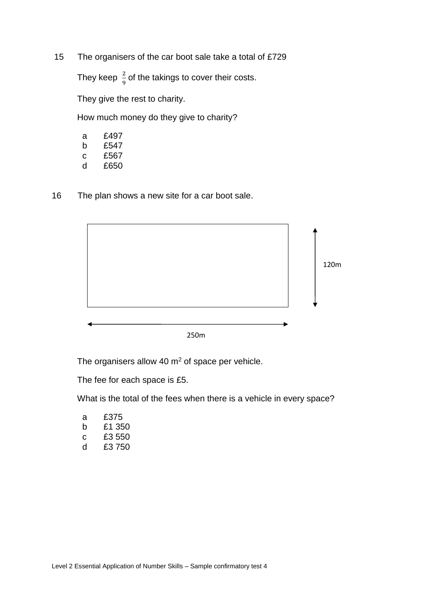15 The organisers of the car boot sale take a total of £729

They keep  $\frac{2}{9}$  of the takings to cover their costs.

They give the rest to charity.

How much money do they give to charity?

- a £497
- b £547
- c £567 d £650
- 16 The plan shows a new site for a car boot sale.



The organisers allow 40  $m<sup>2</sup>$  of space per vehicle.

The fee for each space is £5.

What is the total of the fees when there is a vehicle in every space?

| а | £375   |  |
|---|--------|--|
| h | £1 350 |  |
| С | £3 550 |  |
| d | £3 750 |  |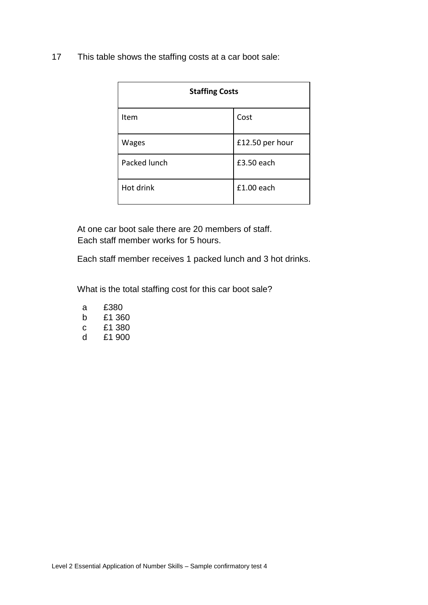17 This table shows the staffing costs at a car boot sale:

| <b>Staffing Costs</b> |                 |  |
|-----------------------|-----------------|--|
| Item                  | Cost            |  |
| Wages                 | £12.50 per hour |  |
| Packed lunch          | £3.50 each      |  |
| Hot drink             | $£1.00$ each    |  |

At one car boot sale there are 20 members of staff. Each staff member works for 5 hours.

Each staff member receives 1 packed lunch and 3 hot drinks.

What is the total staffing cost for this car boot sale?

| а | £380 |        |  |
|---|------|--------|--|
| h |      | £1 360 |  |
| С |      | £1 380 |  |
| d |      | £1 900 |  |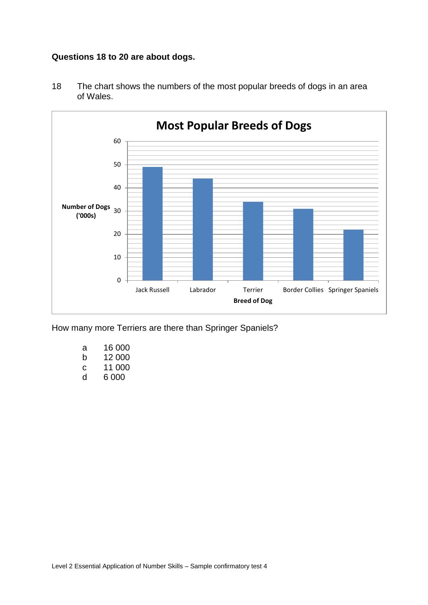## **Questions 18 to 20 are about dogs.**



18 The chart shows the numbers of the most popular breeds of dogs in an area of Wales.

How many more Terriers are there than Springer Spaniels?

- a 16 000 b 12 000 c 11 000
- d 6 000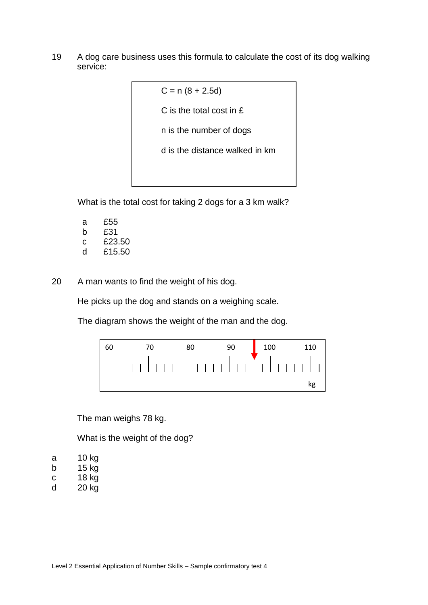19 A dog care business uses this formula to calculate the cost of its dog walking service:

> $C = n (8 + 2.5d)$ C is the total cost in £ n is the number of dogs d is the distance walked in km

What is the total cost for taking 2 dogs for a 3 km walk?

- a £55 b £31
- c £23.50
- d £15.50
- 20 A man wants to find the weight of his dog.

He picks up the dog and stands on a weighing scale.

The diagram shows the weight of the man and the dog.



The man weighs 78 kg.

What is the weight of the dog?

- a 10 kg
- b 15 kg
- c 18 kg
- d 20 kg